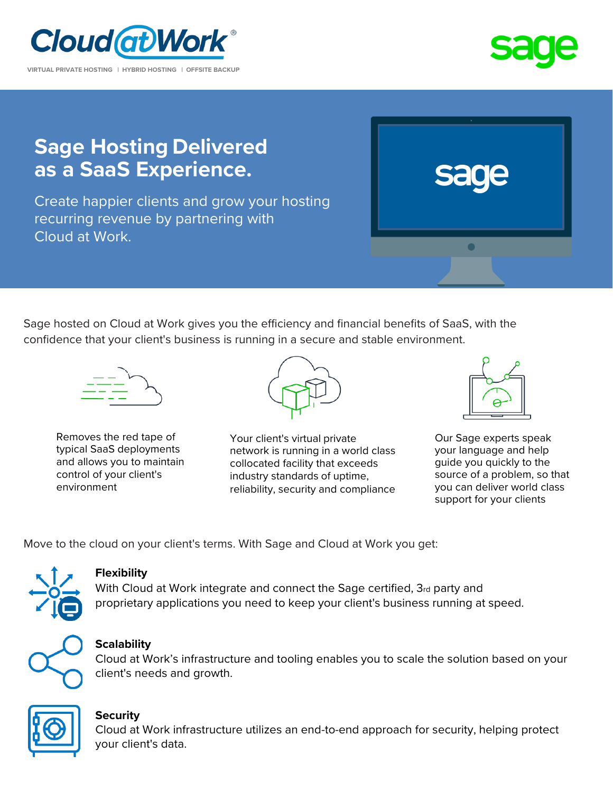



# **Sage Hosting Delivered as a SaaS Experience.**

Create happier clients and grow your hosting recurring revenue by partnering with Cloud at Work.



Sage hosted on Cloud at Work gives you the efficiency and financial benefits of SaaS, with the confidence that your client's business is running in a secure and stable environment.



Removes the red tape of typical SaaS deployments and allows you to maintain control of your client's environment



Your client's virtual private network is running in a world class collocated facility that exceeds industry standards of uptime, reliability, security and compliance



Our Sage experts speak your language and help guide you quickly to the source of a problem, so that you can deliver world class support for your clients

Move to the cloud on your client's terms. With Sage and Cloud at Work you get:



### **Flexibility**

With Cloud at Work integrate and connect the Sage certified, 3rd party and proprietary applications you need to keep your client's business running at speed.



## **Scalability**

Cloud at Work's infrastructure and tooling enables you to scale the solution based on your client's needs and growth.



#### **Security**

Cloud at Work infrastructure utilizes an end-to-end approach for security, helping protect your client's data.